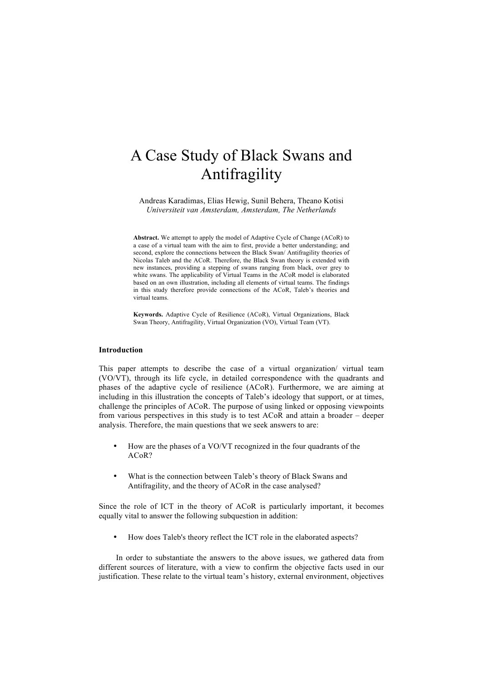# A Case Study of Black Swans and Antifragility

Andreas Karadimas, Elias Hewig, Sunil Behera, Theano Kotisi *Universiteit van Amsterdam, Amsterdam, The Netherlands*

**Abstract.** We attempt to apply the model of Adaptive Cycle of Change (ACoR) to a case of a virtual team with the aim to first, provide a better understanding; and second, explore the connections between the Black Swan/ Antifragility theories of Nicolas Taleb and the ACoR. Therefore, the Black Swan theory is extended with new instances, providing a stepping of swans ranging from black, over grey to white swans. The applicability of Virtual Teams in the ACoR model is elaborated based on an own illustration, including all elements of virtual teams. The findings in this study therefore provide connections of the ACoR, Taleb's theories and virtual teams.

**Keywords.** Adaptive Cycle of Resilience (ACoR), Virtual Organizations, Black Swan Theory, Antifragility, Virtual Organization (VO), Virtual Team (VT).

### **Introduction**

This paper attempts to describe the case of a virtual organization/ virtual team (VO/VT), through its life cycle, in detailed correspondence with the quadrants and phases of the adaptive cycle of resilience (ACoR). Furthermore, we are aiming at including in this illustration the concepts of Taleb's ideology that support, or at times, challenge the principles of ACoR. The purpose of using linked or opposing viewpoints from various perspectives in this study is to test ACoR and attain a broader – deeper analysis. Therefore, the main questions that we seek answers to are:

- How are the phases of a VO/VT recognized in the four quadrants of the ACoR?
- What is the connection between Taleb's theory of Black Swans and Antifragility, and the theory of ACoR in the case analysed?

Since the role of ICT in the theory of ACoR is particularly important, it becomes equally vital to answer the following subquestion in addition:

• How does Taleb's theory reflect the ICT role in the elaborated aspects?

In order to substantiate the answers to the above issues, we gathered data from different sources of literature, with a view to confirm the objective facts used in our justification. These relate to the virtual team's history, external environment, objectives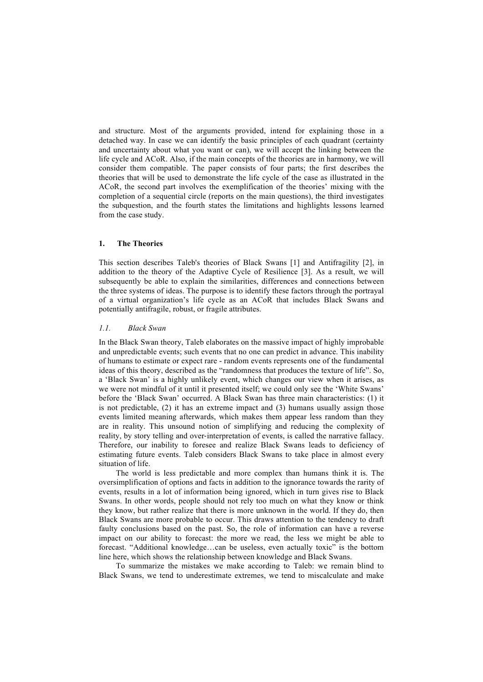and structure. Most of the arguments provided, intend for explaining those in a detached way. In case we can identify the basic principles of each quadrant (certainty and uncertainty about what you want or can), we will accept the linking between the life cycle and ACoR. Also, if the main concepts of the theories are in harmony, we will consider them compatible. The paper consists of four parts; the first describes the theories that will be used to demonstrate the life cycle of the case as illustrated in the ACoR, the second part involves the exemplification of the theories' mixing with the completion of a sequential circle (reports on the main questions), the third investigates the subquestion, and the fourth states the limitations and highlights lessons learned from the case study.

# **1. The Theories**

This section describes Taleb's theories of Black Swans [1] and Antifragility [2], in addition to the theory of the Adaptive Cycle of Resilience [3]. As a result, we will subsequently be able to explain the similarities, differences and connections between the three systems of ideas. The purpose is to identify these factors through the portrayal of a virtual organization's life cycle as an ACoR that includes Black Swans and potentially antifragile, robust, or fragile attributes.

#### *1.1. Black Swan*

In the Black Swan theory, Taleb elaborates on the massive impact of highly improbable and unpredictable events; such events that no one can predict in advance. This inability of humans to estimate or expect rare - random events represents one of the fundamental ideas of this theory, described as the "randomness that produces the texture of life". So, a 'Black Swan' is a highly unlikely event, which changes our view when it arises, as we were not mindful of it until it presented itself; we could only see the 'White Swans' before the 'Black Swan' occurred. A Black Swan has three main characteristics: (1) it is not predictable, (2) it has an extreme impact and (3) humans usually assign those events limited meaning afterwards, which makes them appear less random than they are in reality. This unsound notion of simplifying and reducing the complexity of reality, by story telling and over-interpretation of events, is called the narrative fallacy. Therefore, our inability to foresee and realize Black Swans leads to deficiency of estimating future events. Taleb considers Black Swans to take place in almost every situation of life.

The world is less predictable and more complex than humans think it is. The oversimplification of options and facts in addition to the ignorance towards the rarity of events, results in a lot of information being ignored, which in turn gives rise to Black Swans. In other words, people should not rely too much on what they know or think they know, but rather realize that there is more unknown in the world. If they do, then Black Swans are more probable to occur. This draws attention to the tendency to draft faulty conclusions based on the past. So, the role of information can have a reverse impact on our ability to forecast: the more we read, the less we might be able to forecast. "Additional knowledge…can be useless, even actually toxic" is the bottom line here, which shows the relationship between knowledge and Black Swans.

To summarize the mistakes we make according to Taleb: we remain blind to Black Swans, we tend to underestimate extremes, we tend to miscalculate and make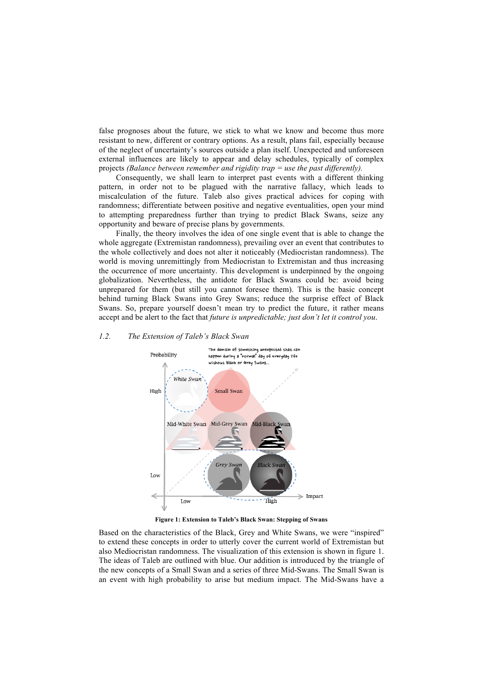false prognoses about the future, we stick to what we know and become thus more resistant to new, different or contrary options. As a result, plans fail, especially because of the neglect of uncertainty's sources outside a plan itself. Unexpected and unforeseen external influences are likely to appear and delay schedules, typically of complex projects *(Balance between remember and rigidity trap = use the past differently).*

Consequently, we shall learn to interpret past events with a different thinking pattern, in order not to be plagued with the narrative fallacy, which leads to miscalculation of the future. Taleb also gives practical advices for coping with randomness; differentiate between positive and negative eventualities, open your mind to attempting preparedness further than trying to predict Black Swans, seize any opportunity and beware of precise plans by governments.

Finally, the theory involves the idea of one single event that is able to change the whole aggregate (Extremistan randomness), prevailing over an event that contributes to the whole collectively and does not alter it noticeably (Mediocristan randomness). The world is moving unremittingly from Mediocristan to Extremistan and thus increasing the occurrence of more uncertainty. This development is underpinned by the ongoing globalization. Nevertheless, the antidote for Black Swans could be: avoid being unprepared for them (but still you cannot foresee them). This is the basic concept behind turning Black Swans into Grey Swans; reduce the surprise effect of Black Swans. So, prepare yourself doesn't mean try to predict the future, it rather means accept and be alert to the fact that *future is unpredictable; just don't let it control you*.

# *1.2. The Extension of Taleb's Black Swan*



**Figure 1: Extension to Taleb's Black Swan: Stepping of Swans**

Based on the characteristics of the Black, Grey and White Swans, we were "inspired" to extend these concepts in order to utterly cover the current world of Extremistan but also Mediocristan randomness. The visualization of this extension is shown in figure 1. The ideas of Taleb are outlined with blue. Our addition is introduced by the triangle of the new concepts of a Small Swan and a series of three Mid-Swans. The Small Swan is an event with high probability to arise but medium impact. The Mid-Swans have a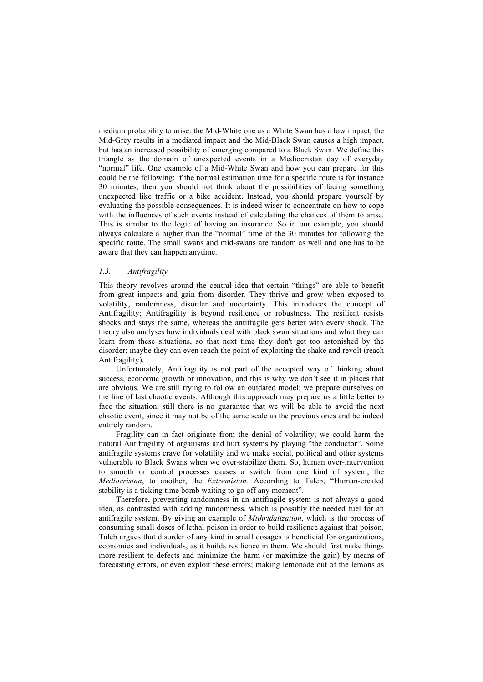medium probability to arise: the Mid-White one as a White Swan has a low impact, the Mid-Grey results in a mediated impact and the Mid-Black Swan causes a high impact, but has an increased possibility of emerging compared to a Black Swan. We define this triangle as the domain of unexpected events in a Mediocristan day of everyday "normal" life. One example of a Mid-White Swan and how you can prepare for this could be the following; if the normal estimation time for a specific route is for instance 30 minutes, then you should not think about the possibilities of facing something unexpected like traffic or a bike accident. Instead, you should prepare yourself by evaluating the possible consequences. It is indeed wiser to concentrate on how to cope with the influences of such events instead of calculating the chances of them to arise. This is similar to the logic of having an insurance. So in our example, you should always calculate a higher than the "normal" time of the 30 minutes for following the specific route. The small swans and mid-swans are random as well and one has to be aware that they can happen anytime.

# *1.3. Antifragility*

This theory revolves around the central idea that certain "things" are able to benefit from great impacts and gain from disorder. They thrive and grow when exposed to volatility, randomness, disorder and uncertainty. This introduces the concept of Antifragility; Antifragility is beyond resilience or robustness. The resilient resists shocks and stays the same, whereas the antifragile gets better with every shock. The theory also analyses how individuals deal with black swan situations and what they can learn from these situations, so that next time they don't get too astonished by the disorder; maybe they can even reach the point of exploiting the shake and revolt (reach Antifragility).

Unfortunately, Antifragility is not part of the accepted way of thinking about success, economic growth or innovation, and this is why we don't see it in places that are obvious. We are still trying to follow an outdated model; we prepare ourselves on the line of last chaotic events. Although this approach may prepare us a little better to face the situation, still there is no guarantee that we will be able to avoid the next chaotic event, since it may not be of the same scale as the previous ones and be indeed entirely random.

Fragility can in fact originate from the denial of volatility; we could harm the natural Antifragility of organisms and hurt systems by playing "the conductor". Some antifragile systems crave for volatility and we make social, political and other systems vulnerable to Black Swans when we over-stabilize them. So, human over-intervention to smooth or control processes causes a switch from one kind of system, the *Mediocristan*, to another, the *Extremistan.* According to Taleb, "Human-created stability is a ticking time bomb waiting to go off any moment".

Therefore, preventing randomness in an antifragile system is not always a good idea, as contrasted with adding randomness, which is possibly the needed fuel for an antifragile system. By giving an example of *Mithridatization*, which is the process of consuming small doses of lethal poison in order to build resilience against that poison, Taleb argues that disorder of any kind in small dosages is beneficial for organizations, economies and individuals, as it builds resilience in them. We should first make things more resilient to defects and minimize the harm (or maximize the gain) by means of forecasting errors, or even exploit these errors; making lemonade out of the lemons as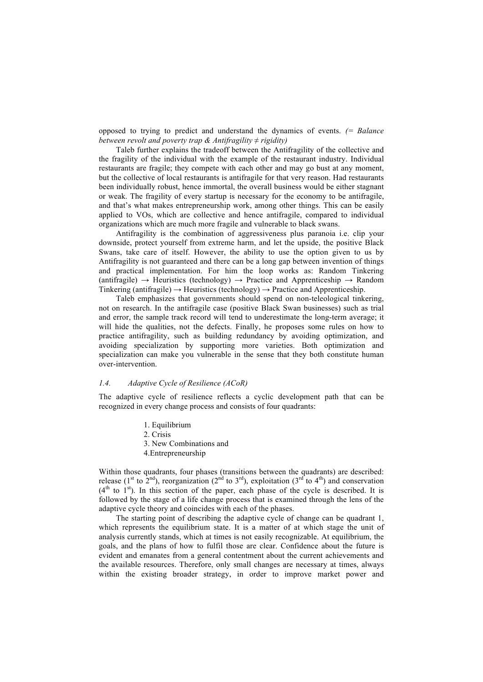opposed to trying to predict and understand the dynamics of events. *(= Balance between revolt and poverty trap & Antifragility*  $\neq$  *rigidity)* 

Taleb further explains the tradeoff between the Antifragility of the collective and the fragility of the individual with the example of the restaurant industry. Individual restaurants are fragile; they compete with each other and may go bust at any moment, but the collective of local restaurants is antifragile for that very reason. Had restaurants been individually robust, hence immortal, the overall business would be either stagnant or weak. The fragility of every startup is necessary for the economy to be antifragile, and that's what makes entrepreneurship work, among other things. This can be easily applied to VOs, which are collective and hence antifragile, compared to individual organizations which are much more fragile and vulnerable to black swans.

Antifragility is the combination of aggressiveness plus paranoia i.e. clip your downside, protect yourself from extreme harm, and let the upside, the positive Black Swans, take care of itself. However, the ability to use the option given to us by Antifragility is not guaranteed and there can be a long gap between invention of things and practical implementation. For him the loop works as: Random Tinkering  $(\text{antifraeile}) \rightarrow \text{Heuristics (technology)} \rightarrow \text{Practice and Approximation} \rightarrow \text{Random}$ Tinkering (antifragile)  $\rightarrow$  Heuristics (technology)  $\rightarrow$  Practice and Apprenticeship.

Taleb emphasizes that governments should spend on non-teleological tinkering, not on research. In the antifragile case (positive Black Swan businesses) such as trial and error, the sample track record will tend to underestimate the long-term average; it will hide the qualities, not the defects. Finally, he proposes some rules on how to practice antifragility, such as building redundancy by avoiding optimization, and avoiding specialization by supporting more varieties. Both optimization and specialization can make you vulnerable in the sense that they both constitute human over-intervention.

#### *1.4. Adaptive Cycle of Resilience (ACoR)*

The adaptive cycle of resilience reflects a cyclic development path that can be recognized in every change process and consists of four quadrants:

- 1. Equilibrium
- 2. Crisis
- 3. New Combinations and
- 4.Entrepreneurship

Within those quadrants, four phases (transitions between the quadrants) are described: release (1<sup>st</sup> to 2<sup>nd</sup>), reorganization (2<sup>nd</sup> to 3<sup>rd</sup>), exploitation (3<sup>rd</sup> to 4<sup>th</sup>) and conservation  $(4<sup>th</sup>$  to  $1<sup>st</sup>)$ . In this section of the paper, each phase of the cycle is described. It is followed by the stage of a life change process that is examined through the lens of the adaptive cycle theory and coincides with each of the phases.

The starting point of describing the adaptive cycle of change can be quadrant 1, which represents the equilibrium state. It is a matter of at which stage the unit of analysis currently stands, which at times is not easily recognizable. At equilibrium, the goals, and the plans of how to fulfil those are clear. Confidence about the future is evident and emanates from a general contentment about the current achievements and the available resources. Therefore, only small changes are necessary at times, always within the existing broader strategy, in order to improve market power and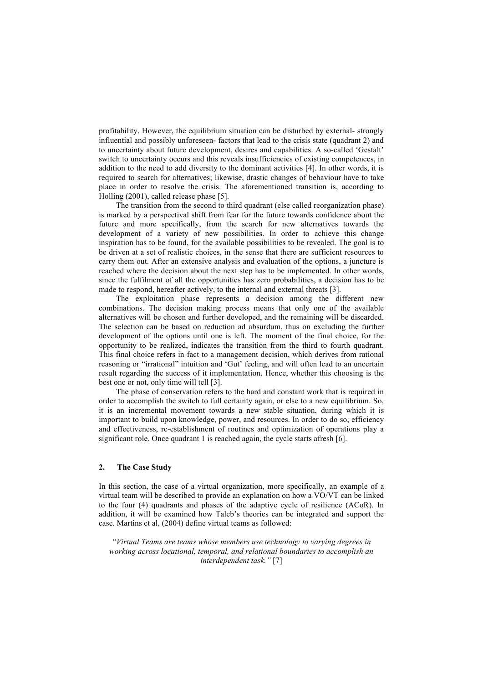profitability. However, the equilibrium situation can be disturbed by external- strongly influential and possibly unforeseen- factors that lead to the crisis state (quadrant 2) and to uncertainty about future development, desires and capabilities. A so-called 'Gestalt' switch to uncertainty occurs and this reveals insufficiencies of existing competences, in addition to the need to add diversity to the dominant activities [4]. In other words, it is required to search for alternatives; likewise, drastic changes of behaviour have to take place in order to resolve the crisis. The aforementioned transition is, according to Holling (2001), called release phase [5].

The transition from the second to third quadrant (else called reorganization phase) is marked by a perspectival shift from fear for the future towards confidence about the future and more specifically, from the search for new alternatives towards the development of a variety of new possibilities. In order to achieve this change inspiration has to be found, for the available possibilities to be revealed. The goal is to be driven at a set of realistic choices, in the sense that there are sufficient resources to carry them out. After an extensive analysis and evaluation of the options, a juncture is reached where the decision about the next step has to be implemented. In other words, since the fulfilment of all the opportunities has zero probabilities, a decision has to be made to respond, hereafter actively, to the internal and external threats [3].

The exploitation phase represents a decision among the different new combinations. The decision making process means that only one of the available alternatives will be chosen and further developed, and the remaining will be discarded. The selection can be based on reduction ad absurdum, thus on excluding the further development of the options until one is left. The moment of the final choice, for the opportunity to be realized, indicates the transition from the third to fourth quadrant. This final choice refers in fact to a management decision, which derives from rational reasoning or "irrational" intuition and 'Gut' feeling, and will often lead to an uncertain result regarding the success of it implementation. Hence, whether this choosing is the best one or not, only time will tell [3].

The phase of conservation refers to the hard and constant work that is required in order to accomplish the switch to full certainty again, or else to a new equilibrium. So, it is an incremental movement towards a new stable situation, during which it is important to build upon knowledge, power, and resources. In order to do so, efficiency and effectiveness, re-establishment of routines and optimization of operations play a significant role. Once quadrant 1 is reached again, the cycle starts afresh [6].

# **2. The Case Study**

In this section, the case of a virtual organization, more specifically, an example of a virtual team will be described to provide an explanation on how a VO/VT can be linked to the four (4) quadrants and phases of the adaptive cycle of resilience (ACoR). In addition, it will be examined how Taleb's theories can be integrated and support the case. Martins et al, (2004) define virtual teams as followed:

*"Virtual Teams are teams whose members use technology to varying degrees in working across locational, temporal, and relational boundaries to accomplish an interdependent task."* [7]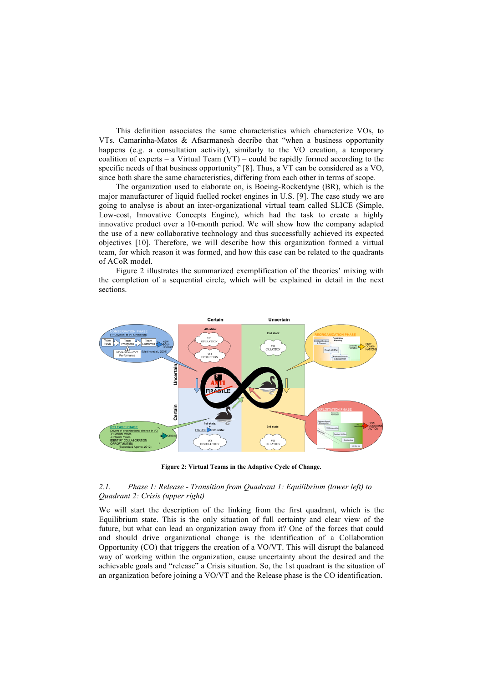This definition associates the same characteristics which characterize VOs, to VTs. Camarinha-Matos & Afsarmanesh decribe that "when a business opportunity happens (e.g. a consultation activity), similarly to the VO creation, a temporary coalition of experts – a Virtual Team  $(VT)$  – could be rapidly formed according to the specific needs of that business opportunity" [8]. Thus, a VT can be considered as a VO, since both share the same characteristics, differing from each other in terms of scope.

The organization used to elaborate on, is Boeing-Rocketdyne (BR), which is the major manufacturer of liquid fuelled rocket engines in U.S. [9]. The case study we are going to analyse is about an inter-organizational virtual team called SLICE (Simple, Low-cost, Innovative Concepts Engine), which had the task to create a highly innovative product over a 10-month period. We will show how the company adapted the use of a new collaborative technology and thus successfully achieved its expected objectives [10]. Therefore, we will describe how this organization formed a virtual team, for which reason it was formed, and how this case can be related to the quadrants of ACoR model.

Figure 2 illustrates the summarized exemplification of the theories' mixing with the completion of a sequential circle, which will be explained in detail in the next sections.



**Figure 2: Virtual Teams in the Adaptive Cycle of Change.**

#### *2.1. Phase 1: Release - Transition from Quadrant 1: Equilibrium (lower left) to Quadrant 2: Crisis (upper right)*

We will start the description of the linking from the first quadrant, which is the Equilibrium state. This is the only situation of full certainty and clear view of the future, but what can lead an organization away from it? One of the forces that could and should drive organizational change is the identification of a Collaboration Opportunity (CO) that triggers the creation of a VO/VT. This will disrupt the balanced way of working within the organization, cause uncertainty about the desired and the achievable goals and "release" a Crisis situation. So, the 1st quadrant is the situation of an organization before joining a VO/VT and the Release phase is the CO identification.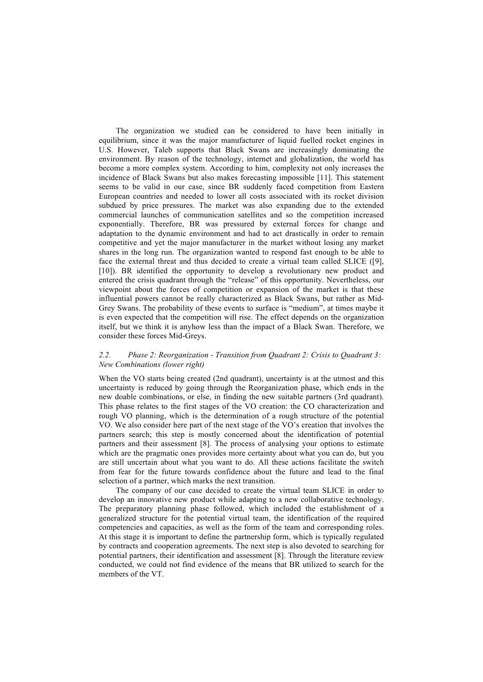The organization we studied can be considered to have been initially in equilibrium, since it was the major manufacturer of liquid fuelled rocket engines in U.S. However, Taleb supports that Black Swans are increasingly dominating the environment. By reason of the technology, internet and globalization, the world has become a more complex system. According to him, complexity not only increases the incidence of Black Swans but also makes forecasting impossible [11]. This statement seems to be valid in our case, since BR suddenly faced competition from Eastern European countries and needed to lower all costs associated with its rocket division subdued by price pressures. The market was also expanding due to the extended commercial launches of communication satellites and so the competition increased exponentially. Therefore, BR was pressured by external forces for change and adaptation to the dynamic environment and had to act drastically in order to remain competitive and yet the major manufacturer in the market without losing any market shares in the long run. The organization wanted to respond fast enough to be able to face the external threat and thus decided to create a virtual team called SLICE ([9], [10]). BR identified the opportunity to develop a revolutionary new product and entered the crisis quadrant through the "release" of this opportunity. Nevertheless, our viewpoint about the forces of competition or expansion of the market is that these influential powers cannot be really characterized as Black Swans, but rather as Mid-Grey Swans. The probability of these events to surface is "medium", at times maybe it is even expected that the competition will rise. The effect depends on the organization itself, but we think it is anyhow less than the impact of a Black Swan. Therefore, we consider these forces Mid-Greys.

#### *2.2. Phase 2: Reorganization - Transition from Quadrant 2: Crisis to Quadrant 3: New Combinations (lower right)*

When the VO starts being created (2nd quadrant), uncertainty is at the utmost and this uncertainty is reduced by going through the Reorganization phase, which ends in the new doable combinations, or else, in finding the new suitable partners (3rd quadrant). This phase relates to the first stages of the VO creation: the CO characterization and rough VO planning, which is the determination of a rough structure of the potential VO. We also consider here part of the next stage of the VO's creation that involves the partners search; this step is mostly concerned about the identification of potential partners and their assessment [8]. The process of analysing your options to estimate which are the pragmatic ones provides more certainty about what you can do, but you are still uncertain about what you want to do. All these actions facilitate the switch from fear for the future towards confidence about the future and lead to the final selection of a partner, which marks the next transition.

The company of our case decided to create the virtual team SLICE in order to develop an innovative new product while adapting to a new collaborative technology. The preparatory planning phase followed, which included the establishment of a generalized structure for the potential virtual team, the identification of the required competencies and capacities, as well as the form of the team and corresponding roles. At this stage it is important to define the partnership form, which is typically regulated by contracts and cooperation agreements. The next step is also devoted to searching for potential partners, their identification and assessment [8]. Through the literature review conducted, we could not find evidence of the means that BR utilized to search for the members of the VT.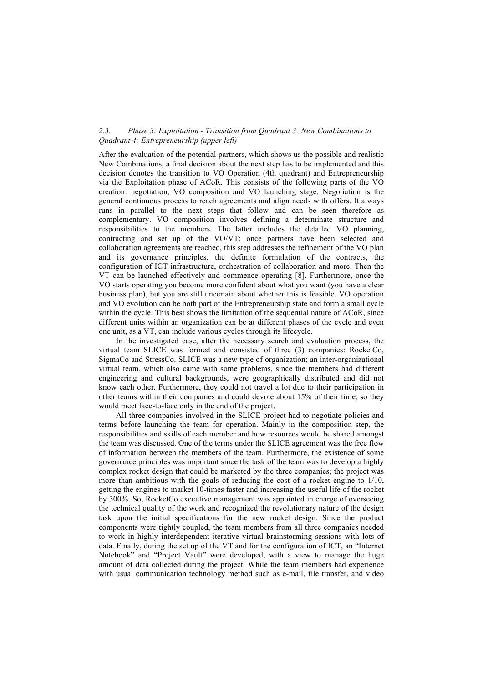#### *2.3. Phase 3: Exploitation - Transition from Quadrant 3: New Combinations to Quadrant 4: Entrepreneurship (upper left)*

After the evaluation of the potential partners, which shows us the possible and realistic New Combinations, a final decision about the next step has to be implemented and this decision denotes the transition to VO Operation (4th quadrant) and Entrepreneurship via the Exploitation phase of ACoR. This consists of the following parts of the VO creation: negotiation, VO composition and VO launching stage. Negotiation is the general continuous process to reach agreements and align needs with offers. It always runs in parallel to the next steps that follow and can be seen therefore as complementary. VO composition involves defining a determinate structure and responsibilities to the members. The latter includes the detailed VO planning, contracting and set up of the VO/VT; once partners have been selected and collaboration agreements are reached, this step addresses the refinement of the VO plan and its governance principles, the definite formulation of the contracts, the configuration of ICT infrastructure, orchestration of collaboration and more. Then the VT can be launched effectively and commence operating [8]. Furthermore, once the VO starts operating you become more confident about what you want (you have a clear business plan), but you are still uncertain about whether this is feasible. VO operation and VO evolution can be both part of the Entrepreneurship state and form a small cycle within the cycle. This best shows the limitation of the sequential nature of ACoR, since different units within an organization can be at different phases of the cycle and even one unit, as a VT, can include various cycles through its lifecycle.

In the investigated case, after the necessary search and evaluation process, the virtual team SLICE was formed and consisted of three (3) companies: RocketCo, SigmaCo and StressCo. SLICE was a new type of organization; an inter-organizational virtual team, which also came with some problems, since the members had different engineering and cultural backgrounds, were geographically distributed and did not know each other. Furthermore, they could not travel a lot due to their participation in other teams within their companies and could devote about 15% of their time, so they would meet face-to-face only in the end of the project.

All three companies involved in the SLICE project had to negotiate policies and terms before launching the team for operation. Mainly in the composition step, the responsibilities and skills of each member and how resources would be shared amongst the team was discussed. One of the terms under the SLICE agreement was the free flow of information between the members of the team. Furthermore, the existence of some governance principles was important since the task of the team was to develop a highly complex rocket design that could be marketed by the three companies; the project was more than ambitious with the goals of reducing the cost of a rocket engine to 1/10, getting the engines to market 10-times faster and increasing the useful life of the rocket by 300%. So, RocketCo executive management was appointed in charge of overseeing the technical quality of the work and recognized the revolutionary nature of the design task upon the initial specifications for the new rocket design. Since the product components were tightly coupled, the team members from all three companies needed to work in highly interdependent iterative virtual brainstorming sessions with lots of data. Finally, during the set up of the VT and for the configuration of ICT, an "Internet Notebook" and "Project Vault" were developed, with a view to manage the huge amount of data collected during the project. While the team members had experience with usual communication technology method such as e-mail, file transfer, and video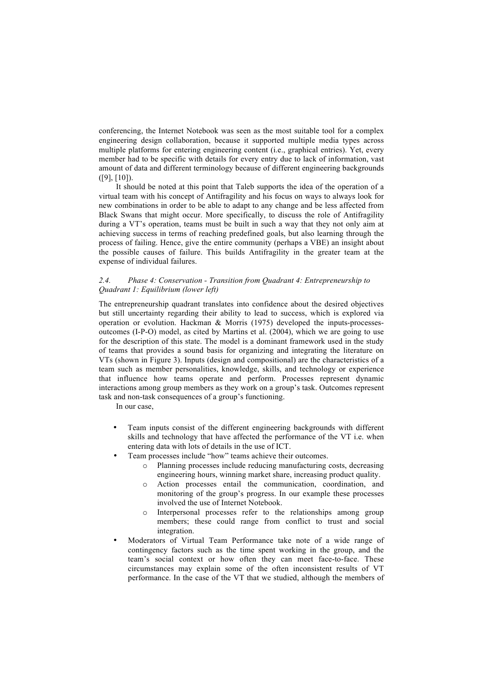conferencing, the Internet Notebook was seen as the most suitable tool for a complex engineering design collaboration, because it supported multiple media types across multiple platforms for entering engineering content (i.e., graphical entries). Yet, every member had to be specific with details for every entry due to lack of information, vast amount of data and different terminology because of different engineering backgrounds ([9], [10]).

It should be noted at this point that Taleb supports the idea of the operation of a virtual team with his concept of Antifragility and his focus on ways to always look for new combinations in order to be able to adapt to any change and be less affected from Black Swans that might occur. More specifically, to discuss the role of Antifragility during a VT's operation, teams must be built in such a way that they not only aim at achieving success in terms of reaching predefined goals, but also learning through the process of failing. Hence, give the entire community (perhaps a VBE) an insight about the possible causes of failure. This builds Antifragility in the greater team at the expense of individual failures.

## *2.4. Phase 4: Conservation - Transition from Quadrant 4: Entrepreneurship to Quadrant 1: Equilibrium (lower left)*

The entrepreneurship quadrant translates into confidence about the desired objectives but still uncertainty regarding their ability to lead to success, which is explored via operation or evolution. Hackman & Morris (1975) developed the inputs-processesoutcomes (I-P-O) model, as cited by Martins et al. (2004), which we are going to use for the description of this state. The model is a dominant framework used in the study of teams that provides a sound basis for organizing and integrating the literature on VTs (shown in Figure 3). Inputs (design and compositional) are the characteristics of a team such as member personalities, knowledge, skills, and technology or experience that influence how teams operate and perform. Processes represent dynamic interactions among group members as they work on a group's task. Outcomes represent task and non-task consequences of a group's functioning.

In our case,

- Team inputs consist of the different engineering backgrounds with different skills and technology that have affected the performance of the VT i.e. when entering data with lots of details in the use of ICT.
- Team processes include "how" teams achieve their outcomes.
	- o Planning processes include reducing manufacturing costs, decreasing engineering hours, winning market share, increasing product quality.
	- o Action processes entail the communication, coordination, and monitoring of the group's progress. In our example these processes involved the use of Internet Notebook.
	- o Interpersonal processes refer to the relationships among group members; these could range from conflict to trust and social integration.
- Moderators of Virtual Team Performance take note of a wide range of contingency factors such as the time spent working in the group, and the team's social context or how often they can meet face-to-face. These circumstances may explain some of the often inconsistent results of VT performance. In the case of the VT that we studied, although the members of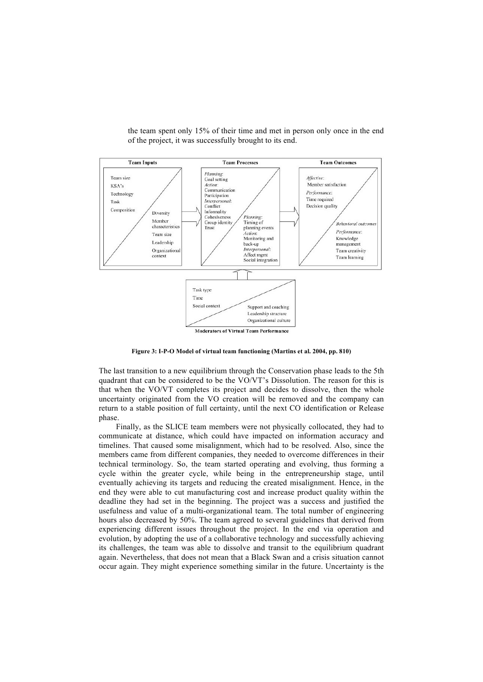

the team spent only 15% of their time and met in person only once in the end of the project, it was successfully brought to its end.

**Figure 3: I-P-O Model of virtual team functioning (Martins et al. 2004, pp. 810)**

The last transition to a new equilibrium through the Conservation phase leads to the 5th quadrant that can be considered to be the VO/VT's Dissolution. The reason for this is that when the VO/VT completes its project and decides to dissolve, then the whole uncertainty originated from the VO creation will be removed and the company can return to a stable position of full certainty, until the next CO identification or Release phase.

Finally, as the SLICE team members were not physically collocated, they had to communicate at distance, which could have impacted on information accuracy and timelines. That caused some misalignment, which had to be resolved. Also, since the members came from different companies, they needed to overcome differences in their technical terminology. So, the team started operating and evolving, thus forming a cycle within the greater cycle, while being in the entrepreneurship stage, until eventually achieving its targets and reducing the created misalignment. Hence, in the end they were able to cut manufacturing cost and increase product quality within the deadline they had set in the beginning. The project was a success and justified the usefulness and value of a multi-organizational team. The total number of engineering hours also decreased by 50%. The team agreed to several guidelines that derived from experiencing different issues throughout the project. In the end via operation and evolution, by adopting the use of a collaborative technology and successfully achieving its challenges, the team was able to dissolve and transit to the equilibrium quadrant again. Nevertheless, that does not mean that a Black Swan and a crisis situation cannot occur again. They might experience something similar in the future. Uncertainty is the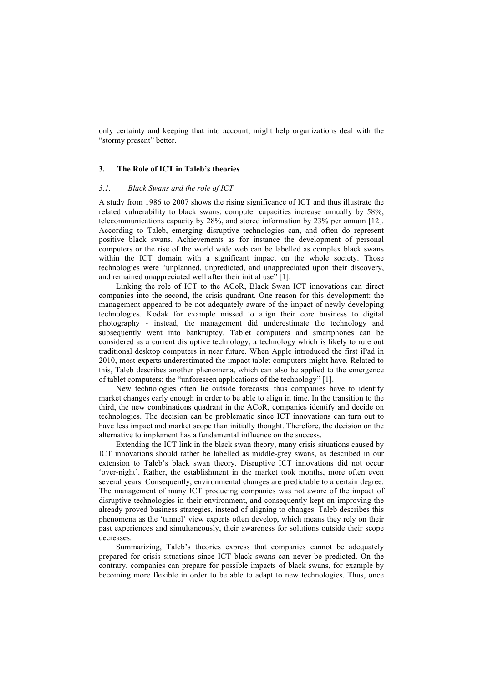only certainty and keeping that into account, might help organizations deal with the "stormy present" better.

# **3. The Role of ICT in Taleb's theories**

#### *3.1. Black Swans and the role of ICT*

A study from 1986 to 2007 shows the rising significance of ICT and thus illustrate the related vulnerability to black swans: computer capacities increase annually by 58%, telecommunications capacity by 28%, and stored information by 23% per annum [12]. According to Taleb, emerging disruptive technologies can, and often do represent positive black swans. Achievements as for instance the development of personal computers or the rise of the world wide web can be labelled as complex black swans within the ICT domain with a significant impact on the whole society. Those technologies were "unplanned, unpredicted, and unappreciated upon their discovery, and remained unappreciated well after their initial use" [1].

Linking the role of ICT to the ACoR, Black Swan ICT innovations can direct companies into the second, the crisis quadrant. One reason for this development: the management appeared to be not adequately aware of the impact of newly developing technologies. Kodak for example missed to align their core business to digital photography - instead, the management did underestimate the technology and subsequently went into bankruptcy. Tablet computers and smartphones can be considered as a current disruptive technology, a technology which is likely to rule out traditional desktop computers in near future. When Apple introduced the first iPad in 2010, most experts underestimated the impact tablet computers might have. Related to this, Taleb describes another phenomena, which can also be applied to the emergence of tablet computers: the "unforeseen applications of the technology" [1].

New technologies often lie outside forecasts, thus companies have to identify market changes early enough in order to be able to align in time. In the transition to the third, the new combinations quadrant in the ACoR, companies identify and decide on technologies. The decision can be problematic since ICT innovations can turn out to have less impact and market scope than initially thought. Therefore, the decision on the alternative to implement has a fundamental influence on the success.

Extending the ICT link in the black swan theory, many crisis situations caused by ICT innovations should rather be labelled as middle-grey swans, as described in our extension to Taleb's black swan theory. Disruptive ICT innovations did not occur 'over-night'. Rather, the establishment in the market took months, more often even several years. Consequently, environmental changes are predictable to a certain degree. The management of many ICT producing companies was not aware of the impact of disruptive technologies in their environment, and consequently kept on improving the already proved business strategies, instead of aligning to changes. Taleb describes this phenomena as the 'tunnel' view experts often develop, which means they rely on their past experiences and simultaneously, their awareness for solutions outside their scope decreases.

Summarizing, Taleb's theories express that companies cannot be adequately prepared for crisis situations since ICT black swans can never be predicted. On the contrary, companies can prepare for possible impacts of black swans, for example by becoming more flexible in order to be able to adapt to new technologies. Thus, once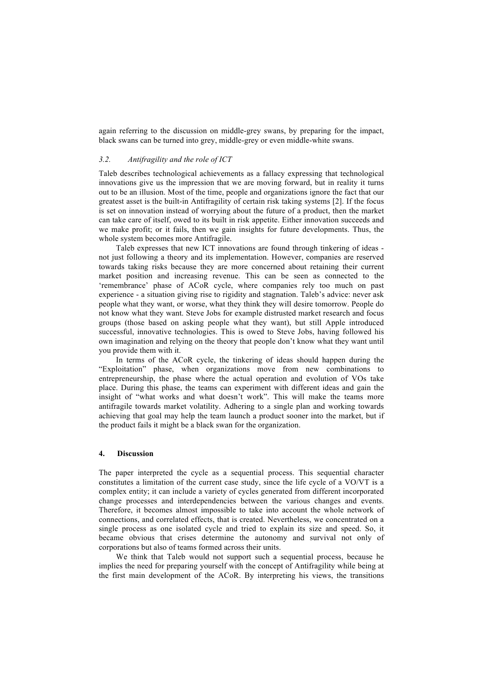again referring to the discussion on middle-grey swans, by preparing for the impact, black swans can be turned into grey, middle-grey or even middle-white swans.

#### *3.2. Antifragility and the role of ICT*

Taleb describes technological achievements as a fallacy expressing that technological innovations give us the impression that we are moving forward, but in reality it turns out to be an illusion. Most of the time, people and organizations ignore the fact that our greatest asset is the built-in Antifragility of certain risk taking systems [2]. If the focus is set on innovation instead of worrying about the future of a product, then the market can take care of itself, owed to its built in risk appetite. Either innovation succeeds and we make profit; or it fails, then we gain insights for future developments. Thus, the whole system becomes more Antifragile.

Taleb expresses that new ICT innovations are found through tinkering of ideas not just following a theory and its implementation. However, companies are reserved towards taking risks because they are more concerned about retaining their current market position and increasing revenue. This can be seen as connected to the 'remembrance' phase of ACoR cycle, where companies rely too much on past experience - a situation giving rise to rigidity and stagnation. Taleb's advice: never ask people what they want, or worse, what they think they will desire tomorrow. People do not know what they want. Steve Jobs for example distrusted market research and focus groups (those based on asking people what they want), but still Apple introduced successful, innovative technologies. This is owed to Steve Jobs, having followed his own imagination and relying on the theory that people don't know what they want until you provide them with it.

In terms of the ACoR cycle, the tinkering of ideas should happen during the "Exploitation" phase, when organizations move from new combinations to entrepreneurship, the phase where the actual operation and evolution of VOs take place. During this phase, the teams can experiment with different ideas and gain the insight of "what works and what doesn't work". This will make the teams more antifragile towards market volatility. Adhering to a single plan and working towards achieving that goal may help the team launch a product sooner into the market, but if the product fails it might be a black swan for the organization.

#### **4. Discussion**

The paper interpreted the cycle as a sequential process. This sequential character constitutes a limitation of the current case study, since the life cycle of a VO/VT is a complex entity; it can include a variety of cycles generated from different incorporated change processes and interdependencies between the various changes and events. Therefore, it becomes almost impossible to take into account the whole network of connections, and correlated effects, that is created. Nevertheless, we concentrated on a single process as one isolated cycle and tried to explain its size and speed. So, it became obvious that crises determine the autonomy and survival not only of corporations but also of teams formed across their units.

We think that Taleb would not support such a sequential process, because he implies the need for preparing yourself with the concept of Antifragility while being at the first main development of the ACoR. By interpreting his views, the transitions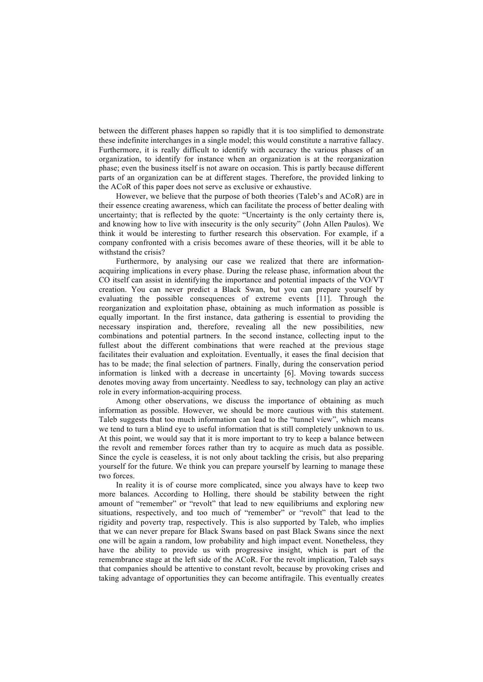between the different phases happen so rapidly that it is too simplified to demonstrate these indefinite interchanges in a single model; this would constitute a narrative fallacy. Furthermore, it is really difficult to identify with accuracy the various phases of an organization, to identify for instance when an organization is at the reorganization phase; even the business itself is not aware on occasion. This is partly because different parts of an organization can be at different stages. Therefore, the provided linking to the ACoR of this paper does not serve as exclusive or exhaustive.

However, we believe that the purpose of both theories (Taleb's and ACoR) are in their essence creating awareness, which can facilitate the process of better dealing with uncertainty; that is reflected by the quote: "Uncertainty is the only certainty there is, and knowing how to live with insecurity is the only security" (John Allen Paulos). We think it would be interesting to further research this observation. For example, if a company confronted with a crisis becomes aware of these theories, will it be able to withstand the crisis?

Furthermore, by analysing our case we realized that there are informationacquiring implications in every phase. During the release phase, information about the CO itself can assist in identifying the importance and potential impacts of the VO/VT creation. You can never predict a Black Swan, but you can prepare yourself by evaluating the possible consequences of extreme events [11]. Through the reorganization and exploitation phase, obtaining as much information as possible is equally important. In the first instance, data gathering is essential to providing the necessary inspiration and, therefore, revealing all the new possibilities, new combinations and potential partners. In the second instance, collecting input to the fullest about the different combinations that were reached at the previous stage facilitates their evaluation and exploitation. Eventually, it eases the final decision that has to be made; the final selection of partners. Finally, during the conservation period information is linked with a decrease in uncertainty [6]. Moving towards success denotes moving away from uncertainty. Needless to say, technology can play an active role in every information-acquiring process.

Among other observations, we discuss the importance of obtaining as much information as possible. However, we should be more cautious with this statement. Taleb suggests that too much information can lead to the "tunnel view", which means we tend to turn a blind eye to useful information that is still completely unknown to us. At this point, we would say that it is more important to try to keep a balance between the revolt and remember forces rather than try to acquire as much data as possible. Since the cycle is ceaseless, it is not only about tackling the crisis, but also preparing yourself for the future. We think you can prepare yourself by learning to manage these two forces.

In reality it is of course more complicated, since you always have to keep two more balances. According to Holling, there should be stability between the right amount of "remember" or "revolt" that lead to new equilibriums and exploring new situations, respectively, and too much of "remember" or "revolt" that lead to the rigidity and poverty trap, respectively. This is also supported by Taleb, who implies that we can never prepare for Black Swans based on past Black Swans since the next one will be again a random, low probability and high impact event. Nonetheless, they have the ability to provide us with progressive insight, which is part of the remembrance stage at the left side of the ACoR. For the revolt implication, Taleb says that companies should be attentive to constant revolt, because by provoking crises and taking advantage of opportunities they can become antifragile. This eventually creates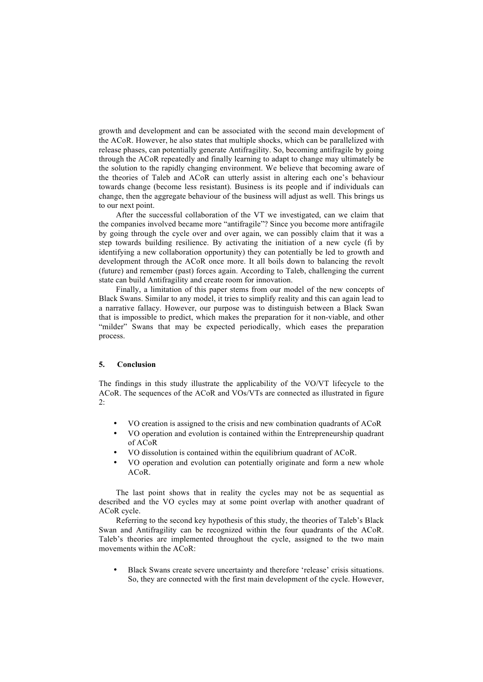growth and development and can be associated with the second main development of the ACoR. However, he also states that multiple shocks, which can be parallelized with release phases, can potentially generate Antifragility. So, becoming antifragile by going through the ACoR repeatedly and finally learning to adapt to change may ultimately be the solution to the rapidly changing environment. We believe that becoming aware of the theories of Taleb and ACoR can utterly assist in altering each one's behaviour towards change (become less resistant). Business is its people and if individuals can change, then the aggregate behaviour of the business will adjust as well. This brings us to our next point.

After the successful collaboration of the VT we investigated, can we claim that the companies involved became more "antifragile"? Since you become more antifragile by going through the cycle over and over again, we can possibly claim that it was a step towards building resilience. By activating the initiation of a new cycle (fi by identifying a new collaboration opportunity) they can potentially be led to growth and development through the ACoR once more. It all boils down to balancing the revolt (future) and remember (past) forces again. According to Taleb, challenging the current state can build Antifragility and create room for innovation.

Finally, a limitation of this paper stems from our model of the new concepts of Black Swans. Similar to any model, it tries to simplify reality and this can again lead to a narrative fallacy. However, our purpose was to distinguish between a Black Swan that is impossible to predict, which makes the preparation for it non-viable, and other "milder" Swans that may be expected periodically, which eases the preparation process.

## **5. Conclusion**

The findings in this study illustrate the applicability of the VO/VT lifecycle to the ACoR. The sequences of the ACoR and VOs/VTs are connected as illustrated in figure 2:

- VO creation is assigned to the crisis and new combination quadrants of ACoR
- VO operation and evolution is contained within the Entrepreneurship quadrant of ACoR
- VO dissolution is contained within the equilibrium quadrant of ACoR.
- VO operation and evolution can potentially originate and form a new whole ACoR.

The last point shows that in reality the cycles may not be as sequential as described and the VO cycles may at some point overlap with another quadrant of ACoR cycle.

Referring to the second key hypothesis of this study, the theories of Taleb's Black Swan and Antifragility can be recognized within the four quadrants of the ACoR. Taleb's theories are implemented throughout the cycle, assigned to the two main movements within the ACoR:

• Black Swans create severe uncertainty and therefore 'release' crisis situations. So, they are connected with the first main development of the cycle. However,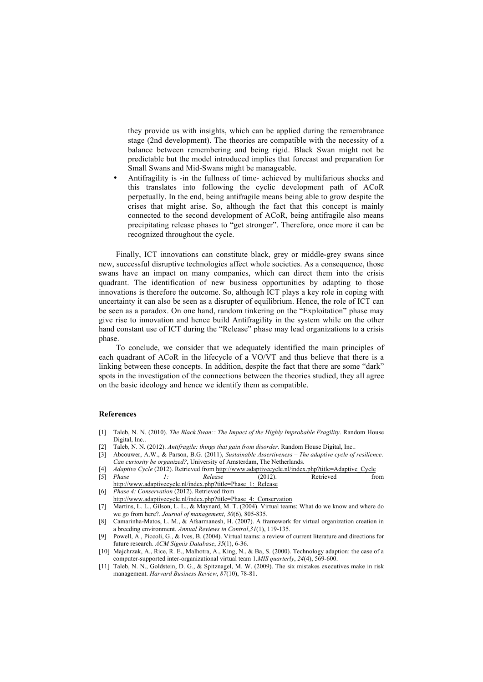they provide us with insights, which can be applied during the remembrance stage (2nd development). The theories are compatible with the necessity of a balance between remembering and being rigid. Black Swan might not be predictable but the model introduced implies that forecast and preparation for Small Swans and Mid-Swans might be manageable.

• Antifragility is -in the fullness of time- achieved by multifarious shocks and this translates into following the cyclic development path of ACoR perpetually. In the end, being antifragile means being able to grow despite the crises that might arise. So, although the fact that this concept is mainly connected to the second development of ACoR, being antifragile also means precipitating release phases to "get stronger". Therefore, once more it can be recognized throughout the cycle.

Finally, ICT innovations can constitute black, grey or middle-grey swans since new, successful disruptive technologies affect whole societies. As a consequence, those swans have an impact on many companies, which can direct them into the crisis quadrant. The identification of new business opportunities by adapting to those innovations is therefore the outcome. So, although ICT plays a key role in coping with uncertainty it can also be seen as a disrupter of equilibrium. Hence, the role of ICT can be seen as a paradox. On one hand, random tinkering on the "Exploitation" phase may give rise to innovation and hence build Antifragility in the system while on the other hand constant use of ICT during the "Release" phase may lead organizations to a crisis phase.

To conclude, we consider that we adequately identified the main principles of each quadrant of ACoR in the lifecycle of a VO/VT and thus believe that there is a linking between these concepts. In addition, despite the fact that there are some "dark" spots in the investigation of the connections between the theories studied, they all agree on the basic ideology and hence we identify them as compatible.

#### **References**

- [1] Taleb, N. N. (2010). *The Black Swan:: The Impact of the Highly Improbable Fragility*. Random House Digital, Inc..
- [2] Taleb, N. N. (2012). *Antifragile: things that gain from disorder*. Random House Digital, Inc..
- [3] Abcouwer, A.W., & Parson, B.G. (2011), *Sustainable Assertiveness – The adaptive cycle of resilience: Can curiosity be organized?*, University of Amsterdam, The Netherlands.
- [4] *Adaptive Cycle* (2012). Retrieved from http://www.adaptivecycle.nl/index.php?title=Adaptive\_Cycle
- [5] *Phase 1: Release* (2012). Retrieved from http://www.adaptivecycle.nl/index.php?title=Phase\_1:\_Release
- [6] *Phase 4: Conservation* (2012). Retrieved from http://www.adaptivecycle.nl/index.php?title=Phase\_4:\_Conservation
- [7] Martins, L. L., Gilson, L. L., & Maynard, M. T. (2004). Virtual teams: What do we know and where do we go from here?. *Journal of management*, *30*(6), 805-835.
- [8] Camarinha-Matos, L. M., & Afsarmanesh, H. (2007). A framework for virtual organization creation in a breeding environment. *Annual Reviews in Control*,*31*(1), 119-135.
- [9] Powell, A., Piccoli, G., & Ives, B. (2004). Virtual teams: a review of current literature and directions for future research. *ACM Sigmis Database*, *35*(1), 6-36.
- [10] Majchrzak, A., Rice, R. E., Malhotra, A., King, N., & Ba, S. (2000). Technology adaption: the case of a computer-supported inter-organizational virtual team 1.*MIS quarterly*, *24*(4), 569-600.
- [11] Taleb, N. N., Goldstein, D. G., & Spitznagel, M. W. (2009). The six mistakes executives make in risk management. *Harvard Business Review*, *87*(10), 78-81.